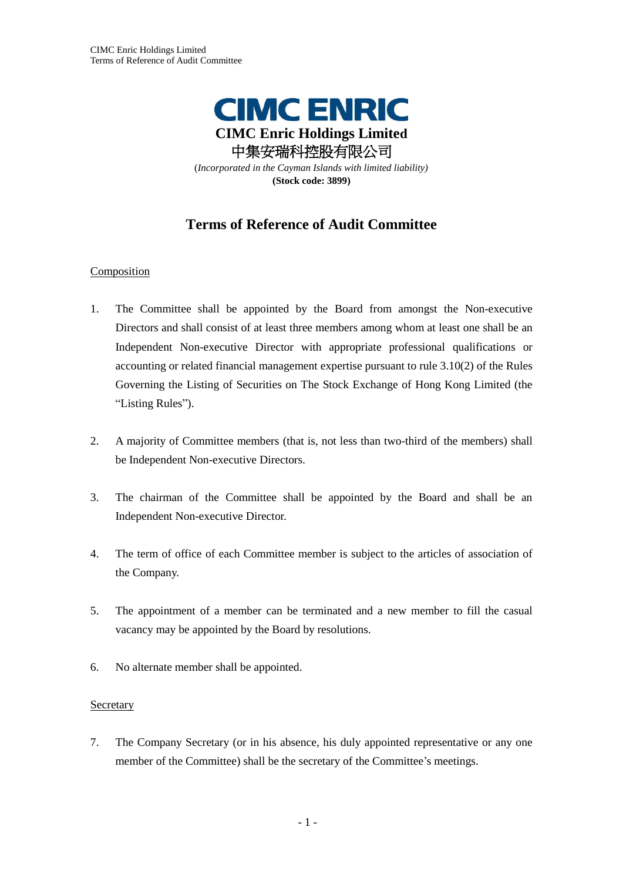

# **Terms of Reference of Audit Committee**

# Composition

- 1. The Committee shall be appointed by the Board from amongst the Non-executive Directors and shall consist of at least three members among whom at least one shall be an Independent Non-executive Director with appropriate professional qualifications or accounting or related financial management expertise pursuant to rule 3.10(2) of the Rules Governing the Listing of Securities on The Stock Exchange of Hong Kong Limited (the "Listing Rules").
- 2. A majority of Committee members (that is, not less than two-third of the members) shall be Independent Non-executive Directors.
- 3. The chairman of the Committee shall be appointed by the Board and shall be an Independent Non-executive Director.
- 4. The term of office of each Committee member is subject to the articles of association of the Company.
- 5. The appointment of a member can be terminated and a new member to fill the casual vacancy may be appointed by the Board by resolutions.
- 6. No alternate member shall be appointed.

# **Secretary**

7. The Company Secretary (or in his absence, his duly appointed representative or any one member of the Committee) shall be the secretary of the Committee's meetings.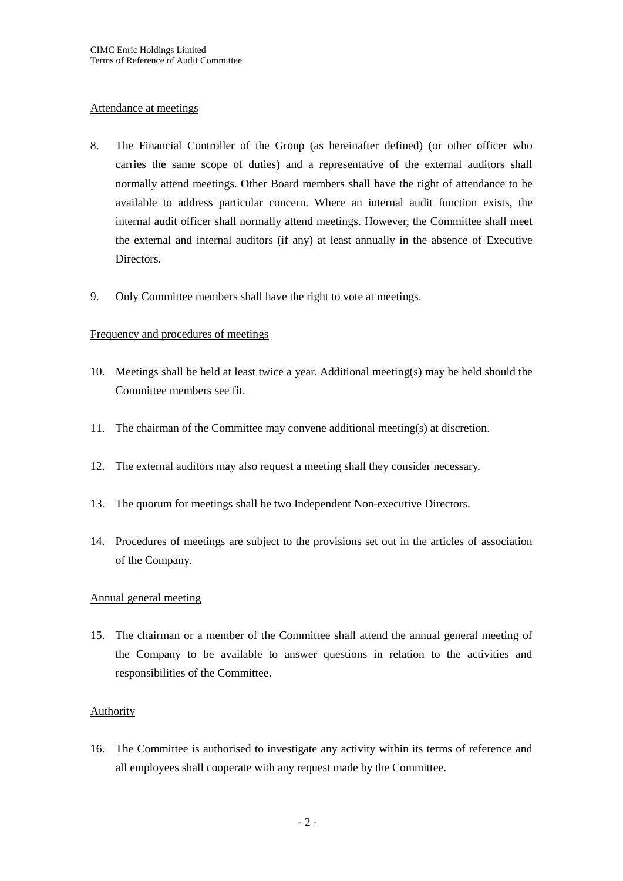#### Attendance at meetings

- 8. The Financial Controller of the Group (as hereinafter defined) (or other officer who carries the same scope of duties) and a representative of the external auditors shall normally attend meetings. Other Board members shall have the right of attendance to be available to address particular concern. Where an internal audit function exists, the internal audit officer shall normally attend meetings. However, the Committee shall meet the external and internal auditors (if any) at least annually in the absence of Executive Directors.
- 9. Only Committee members shall have the right to vote at meetings.

## Frequency and procedures of meetings

- 10. Meetings shall be held at least twice a year. Additional meeting(s) may be held should the Committee members see fit.
- 11. The chairman of the Committee may convene additional meeting(s) at discretion.
- 12. The external auditors may also request a meeting shall they consider necessary.
- 13. The quorum for meetings shall be two Independent Non-executive Directors.
- 14. Procedures of meetings are subject to the provisions set out in the articles of association of the Company.

# Annual general meeting

15. The chairman or a member of the Committee shall attend the annual general meeting of the Company to be available to answer questions in relation to the activities and responsibilities of the Committee.

#### **Authority**

16. The Committee is authorised to investigate any activity within its terms of reference and all employees shall cooperate with any request made by the Committee.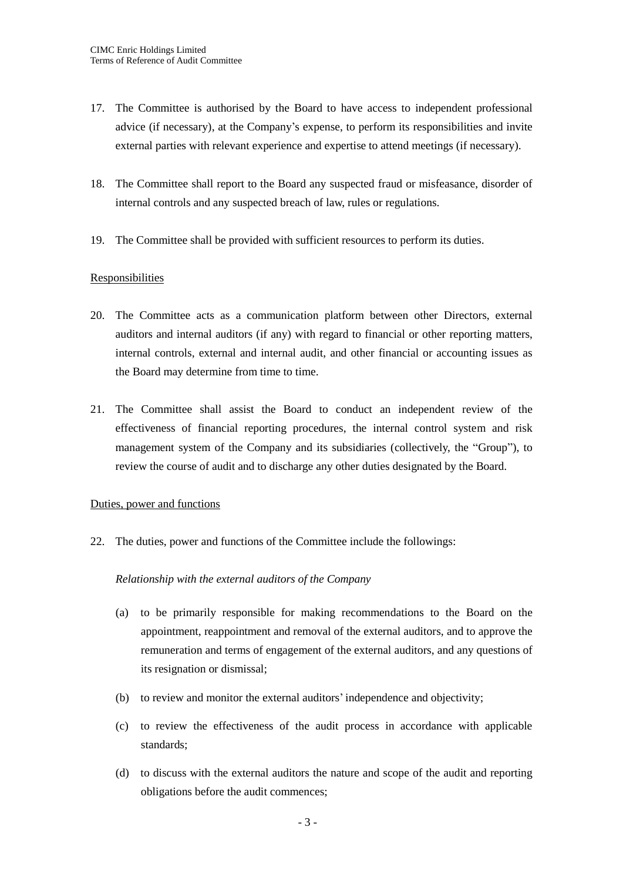- 17. The Committee is authorised by the Board to have access to independent professional advice (if necessary), at the Company's expense, to perform its responsibilities and invite external parties with relevant experience and expertise to attend meetings (if necessary).
- 18. The Committee shall report to the Board any suspected fraud or misfeasance, disorder of internal controls and any suspected breach of law, rules or regulations.
- 19. The Committee shall be provided with sufficient resources to perform its duties.

## **Responsibilities**

- 20. The Committee acts as a communication platform between other Directors, external auditors and internal auditors (if any) with regard to financial or other reporting matters, internal controls, external and internal audit, and other financial or accounting issues as the Board may determine from time to time.
- 21. The Committee shall assist the Board to conduct an independent review of the effectiveness of financial reporting procedures, the internal control system and risk management system of the Company and its subsidiaries (collectively, the "Group"), to review the course of audit and to discharge any other duties designated by the Board.

#### Duties, power and functions

22. The duties, power and functions of the Committee include the followings:

#### *Relationship with the external auditors of the Company*

- (a) to be primarily responsible for making recommendations to the Board on the appointment, reappointment and removal of the external auditors, and to approve the remuneration and terms of engagement of the external auditors, and any questions of its resignation or dismissal;
- (b) to review and monitor the external auditors' independence and objectivity;
- (c) to review the effectiveness of the audit process in accordance with applicable standards;
- (d) to discuss with the external auditors the nature and scope of the audit and reporting obligations before the audit commences;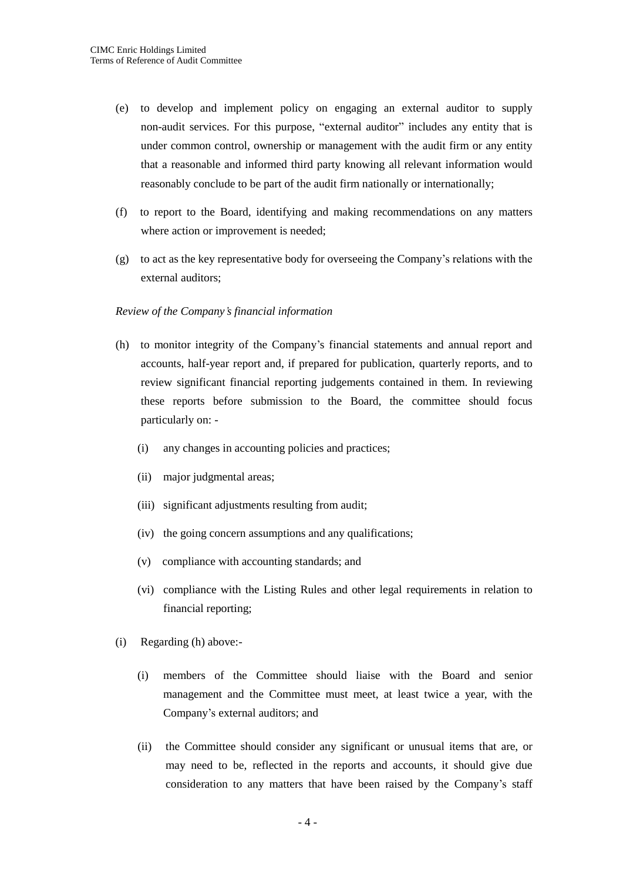- (e) to develop and implement policy on engaging an external auditor to supply non-audit services. For this purpose, "external auditor" includes any entity that is under common control, ownership or management with the audit firm or any entity that a reasonable and informed third party knowing all relevant information would reasonably conclude to be part of the audit firm nationally or internationally;
- (f) to report to the Board, identifying and making recommendations on any matters where action or improvement is needed;
- (g) to act as the key representative body for overseeing the Company's relations with the external auditors;

#### *Review of the Company's financial information*

- (h) to monitor integrity of the Company's financial statements and annual report and accounts, half-year report and, if prepared for publication, quarterly reports, and to review significant financial reporting judgements contained in them. In reviewing these reports before submission to the Board, the committee should focus particularly on: -
	- (i) any changes in accounting policies and practices;
	- (ii) major judgmental areas;
	- (iii) significant adjustments resulting from audit;
	- (iv) the going concern assumptions and any qualifications;
	- (v) compliance with accounting standards; and
	- (vi) compliance with the Listing Rules and other legal requirements in relation to financial reporting;
- (i) Regarding (h) above:-
	- (i) members of the Committee should liaise with the Board and senior management and the Committee must meet, at least twice a year, with the Company's external auditors; and
	- (ii) the Committee should consider any significant or unusual items that are, or may need to be, reflected in the reports and accounts, it should give due consideration to any matters that have been raised by the Company's staff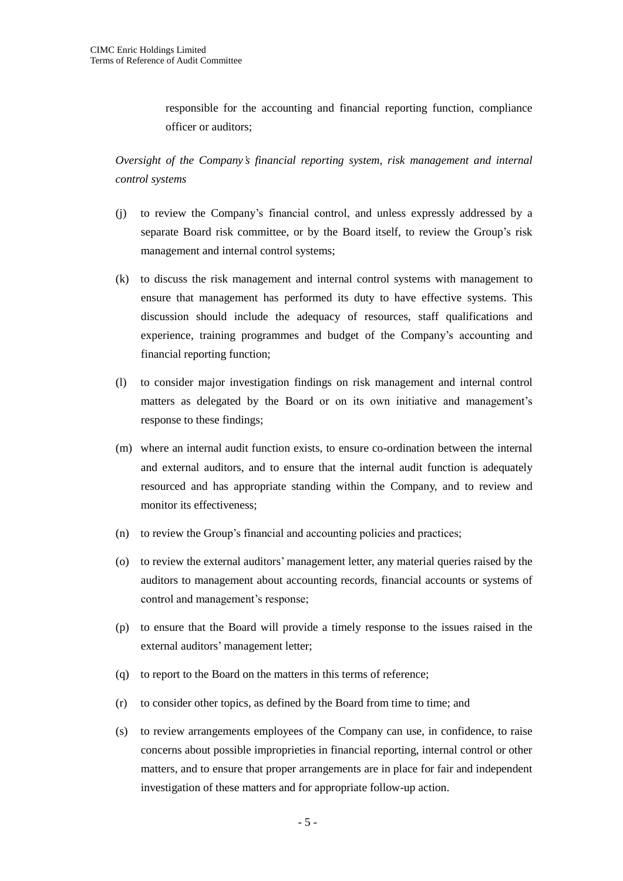responsible for the accounting and financial reporting function, compliance officer or auditors;

*Oversight of the Company's financial reporting system, risk management and internal control systems*

- (j) to review the Company's financial control, and unless expressly addressed by a separate Board risk committee, or by the Board itself, to review the Group's risk management and internal control systems;
- (k) to discuss the risk management and internal control systems with management to ensure that management has performed its duty to have effective systems. This discussion should include the adequacy of resources, staff qualifications and experience, training programmes and budget of the Company's accounting and financial reporting function;
- (l) to consider major investigation findings on risk management and internal control matters as delegated by the Board or on its own initiative and management's response to these findings;
- (m) where an internal audit function exists, to ensure co-ordination between the internal and external auditors, and to ensure that the internal audit function is adequately resourced and has appropriate standing within the Company, and to review and monitor its effectiveness;
- (n) to review the Group's financial and accounting policies and practices;
- (o) to review the external auditors' management letter, any material queries raised by the auditors to management about accounting records, financial accounts or systems of control and management's response;
- (p) to ensure that the Board will provide a timely response to the issues raised in the external auditors' management letter;
- (q) to report to the Board on the matters in this terms of reference;
- (r) to consider other topics, as defined by the Board from time to time; and
- (s) to review arrangements employees of the Company can use, in confidence, to raise concerns about possible improprieties in financial reporting, internal control or other matters, and to ensure that proper arrangements are in place for fair and independent investigation of these matters and for appropriate follow-up action.